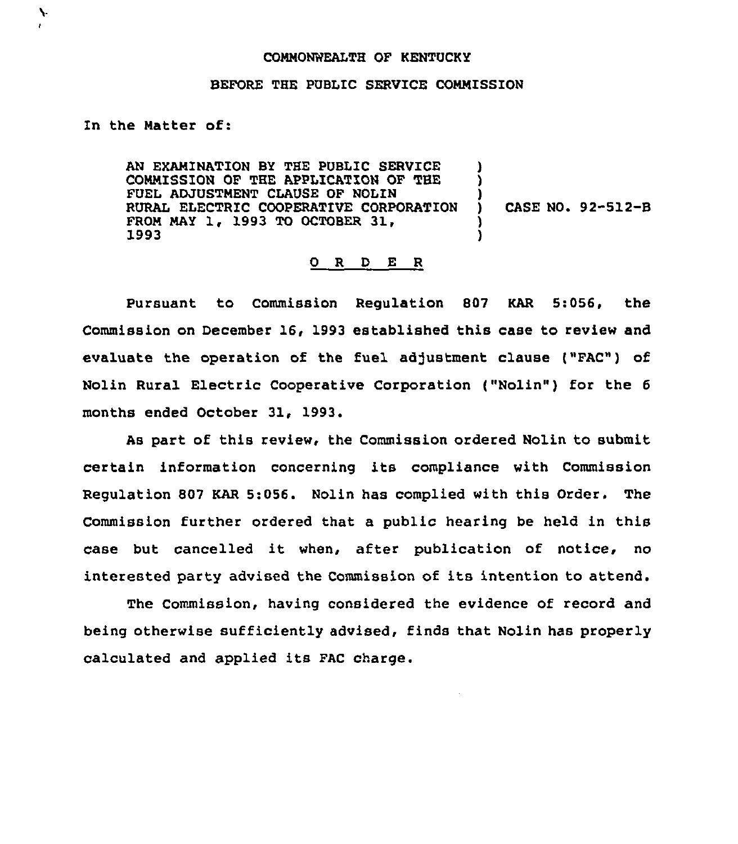## CONNONWEALTH OF KENTUCKY

## BEFORE THE PUBLIC SERVICE COMMISSION

## In the Natter of:

N.

AN EXAMINATION BY THE PUBLIC SERVICE COMNISSION OF THE APPLICATION OF THE FUEL ADJUSTNENT CLAUSE QF NQLIN RURAL ELECTRIC COOPERATIVE CORPORATION FROM NAY 1, 1993 TQ QCTQBER 31, 1993 ) ) ) ) CASE NO. 92-512-B ) )

## O R D E R

Pursuant to Commission Regulation 807 KAR 5:056, the Commission on December 16, 1993 established this case to review and evaluate the operation of the fuel adjustment clause ("FAC") of Nolin Rural Electric Cooperative Corporation ("Nolin") for the <sup>6</sup> months ended October 31, 1993.

As part of this review, the Commission ordered Nolin to submit certain information concerning its compliance with Commission Regulation 807 KAR 5:056. Nolin has complied with this Order. The Commission further ordered that a public hearing be held in this case but cancelled it when, after publication of notice, no interested party advised the Commission of its intention to attend.

The Commission, having considered the evidence of record and being otherwise sufficiently advised, finds that Nolin has properly calculated and applied its FAC charge.